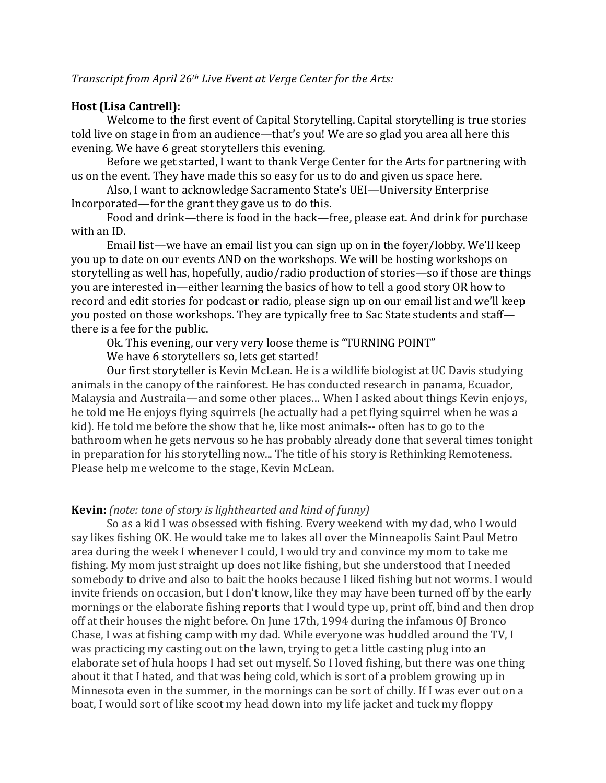# **Host (Lisa Cantrell):**

Welcome to the first event of Capital Storytelling. Capital storytelling is true stories told live on stage in from an audience—that's you! We are so glad you area all here this evening. We have 6 great storytellers this evening.

Before we get started, I want to thank Verge Center for the Arts for partnering with us on the event. They have made this so easy for us to do and given us space here.

Also, I want to acknowledge Sacramento State's UEI—University Enterprise Incorporated—for the grant they gave us to do this.

Food and drink—there is food in the back—free, please eat. And drink for purchase with an ID.

Email list—we have an email list you can sign up on in the foyer/lobby. We'll keep you up to date on our events AND on the workshops. We will be hosting workshops on storytelling as well has, hopefully, audio/radio production of stories—so if those are things you are interested in—either learning the basics of how to tell a good story OR how to record and edit stories for podcast or radio, please sign up on our email list and we'll keep you posted on those workshops. They are typically free to Sac State students and staffthere is a fee for the public.

Ok. This evening, our very very loose theme is "TURNING POINT"

We have 6 storytellers so, lets get started!

Our first storyteller is Kevin McLean. He is a wildlife biologist at UC Davis studying animals in the canopy of the rainforest. He has conducted research in panama, Ecuador, Malaysia and Austraila—and some other places... When I asked about things Kevin enjoys, he told me He enjoys flying squirrels (he actually had a pet flying squirrel when he was a kid). He told me before the show that he, like most animals-- often has to go to the bathroom when he gets nervous so he has probably already done that several times tonight in preparation for his storytelling now... The title of his story is Rethinking Remoteness. Please help me welcome to the stage, Kevin McLean.

# **Kevin:** (note: tone of story is lighthearted and kind of funny)

So as a kid I was obsessed with fishing. Every weekend with my dad, who I would say likes fishing OK. He would take me to lakes all over the Minneapolis Saint Paul Metro area during the week I whenever I could, I would try and convince my mom to take me fishing. My mom just straight up does not like fishing, but she understood that I needed somebody to drive and also to bait the hooks because I liked fishing but not worms. I would invite friends on occasion, but I don't know, like they may have been turned off by the early mornings or the elaborate fishing reports that I would type up, print off, bind and then drop off at their houses the night before. On June 17th, 1994 during the infamous OJ Bronco Chase, I was at fishing camp with my dad. While everyone was huddled around the TV, I was practicing my casting out on the lawn, trying to get a little casting plug into an elaborate set of hula hoops I had set out myself. So I loved fishing, but there was one thing about it that I hated, and that was being cold, which is sort of a problem growing up in Minnesota even in the summer, in the mornings can be sort of chilly. If I was ever out on a boat, I would sort of like scoot my head down into my life jacket and tuck my floppy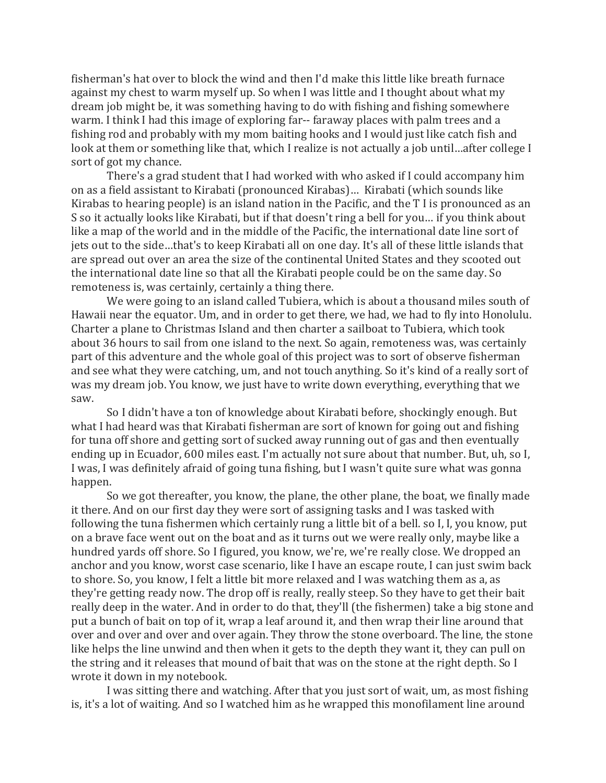fisherman's hat over to block the wind and then I'd make this little like breath furnace against my chest to warm myself up. So when I was little and I thought about what my dream job might be, it was something having to do with fishing and fishing somewhere warm. I think I had this image of exploring far-- faraway places with palm trees and a fishing rod and probably with my mom baiting hooks and I would just like catch fish and look at them or something like that, which I realize is not actually a job until...after college I sort of got my chance.

There's a grad student that I had worked with who asked if I could accompany him on as a field assistant to Kirabati (pronounced Kirabas)... Kirabati (which sounds like Kirabas to hearing people) is an island nation in the Pacific, and the  $T$  I is pronounced as an S so it actually looks like Kirabati, but if that doesn't ring a bell for you... if you think about like a map of the world and in the middle of the Pacific, the international date line sort of jets out to the side...that's to keep Kirabati all on one day. It's all of these little islands that are spread out over an area the size of the continental United States and they scooted out the international date line so that all the Kirabati people could be on the same day. So remoteness is, was certainly, certainly a thing there.

We were going to an island called Tubiera, which is about a thousand miles south of Hawaii near the equator. Um, and in order to get there, we had, we had to fly into Honolulu. Charter a plane to Christmas Island and then charter a sailboat to Tubiera, which took about 36 hours to sail from one island to the next. So again, remoteness was, was certainly part of this adventure and the whole goal of this project was to sort of observe fisherman and see what they were catching, um, and not touch anything. So it's kind of a really sort of was my dream job. You know, we just have to write down everything, everything that we saw. 

So I didn't have a ton of knowledge about Kirabati before, shockingly enough. But what I had heard was that Kirabati fisherman are sort of known for going out and fishing for tuna off shore and getting sort of sucked away running out of gas and then eventually ending up in Ecuador, 600 miles east. I'm actually not sure about that number. But, uh, so I, I was, I was definitely afraid of going tuna fishing, but I wasn't quite sure what was gonna happen. 

So we got thereafter, you know, the plane, the other plane, the boat, we finally made it there. And on our first day they were sort of assigning tasks and I was tasked with following the tuna fishermen which certainly rung a little bit of a bell. so I, I, you know, put on a brave face went out on the boat and as it turns out we were really only, maybe like a hundred yards off shore. So I figured, you know, we're, we're really close. We dropped an anchor and you know, worst case scenario, like I have an escape route, I can just swim back to shore. So, you know, I felt a little bit more relaxed and I was watching them as a, as they're getting ready now. The drop off is really, really steep. So they have to get their bait really deep in the water. And in order to do that, they'll (the fishermen) take a big stone and put a bunch of bait on top of it, wrap a leaf around it, and then wrap their line around that over and over and over and over again. They throw the stone overboard. The line, the stone like helps the line unwind and then when it gets to the depth they want it, they can pull on the string and it releases that mound of bait that was on the stone at the right depth. So I wrote it down in my notebook.

I was sitting there and watching. After that you just sort of wait, um, as most fishing is, it's a lot of waiting. And so I watched him as he wrapped this monofilament line around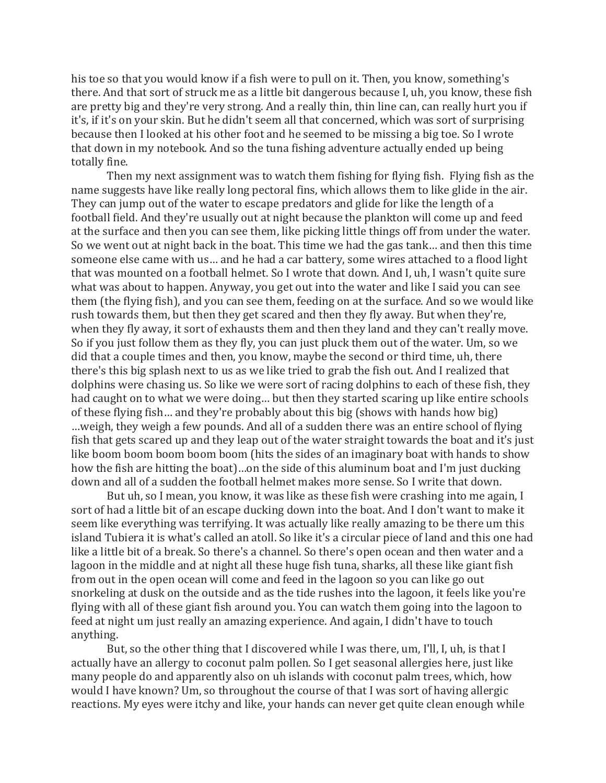his toe so that you would know if a fish were to pull on it. Then, you know, something's there. And that sort of struck me as a little bit dangerous because I, uh, you know, these fish are pretty big and they're very strong. And a really thin, thin line can, can really hurt you if it's, if it's on your skin. But he didn't seem all that concerned, which was sort of surprising because then I looked at his other foot and he seemed to be missing a big toe. So I wrote that down in my notebook. And so the tuna fishing adventure actually ended up being totally fine.

Then my next assignment was to watch them fishing for flying fish. Flying fish as the name suggests have like really long pectoral fins, which allows them to like glide in the air. They can jump out of the water to escape predators and glide for like the length of a football field. And they're usually out at night because the plankton will come up and feed at the surface and then you can see them, like picking little things off from under the water. So we went out at night back in the boat. This time we had the gas tank... and then this time someone else came with us... and he had a car battery, some wires attached to a flood light that was mounted on a football helmet. So I wrote that down. And I, uh, I wasn't quite sure what was about to happen. Anyway, you get out into the water and like I said you can see them (the flying fish), and you can see them, feeding on at the surface. And so we would like rush towards them, but then they get scared and then they fly away. But when they're, when they fly away, it sort of exhausts them and then they land and they can't really move. So if you just follow them as they fly, you can just pluck them out of the water. Um, so we did that a couple times and then, you know, maybe the second or third time, uh, there there's this big splash next to us as we like tried to grab the fish out. And I realized that dolphins were chasing us. So like we were sort of racing dolphins to each of these fish, they had caught on to what we were doing... but then they started scaring up like entire schools of these flying fish... and they're probably about this big (shows with hands how big) ...weigh, they weigh a few pounds. And all of a sudden there was an entire school of flying fish that gets scared up and they leap out of the water straight towards the boat and it's just like boom boom boom boom (hits the sides of an imaginary boat with hands to show how the fish are hitting the boat)...on the side of this aluminum boat and I'm just ducking down and all of a sudden the football helmet makes more sense. So I write that down.

But uh, so I mean, you know, it was like as these fish were crashing into me again, I sort of had a little bit of an escape ducking down into the boat. And I don't want to make it seem like everything was terrifying. It was actually like really amazing to be there um this island Tubiera it is what's called an atoll. So like it's a circular piece of land and this one had like a little bit of a break. So there's a channel. So there's open ocean and then water and a lagoon in the middle and at night all these huge fish tuna, sharks, all these like giant fish from out in the open ocean will come and feed in the lagoon so you can like go out snorkeling at dusk on the outside and as the tide rushes into the lagoon, it feels like you're flying with all of these giant fish around you. You can watch them going into the lagoon to feed at night um just really an amazing experience. And again, I didn't have to touch anything. 

But, so the other thing that I discovered while I was there,  $um$ , I'll, I,  $uh$ , is that I actually have an allergy to coconut palm pollen. So I get seasonal allergies here, just like many people do and apparently also on uh islands with coconut palm trees, which, how would I have known? Um, so throughout the course of that I was sort of having allergic reactions. My eyes were itchy and like, your hands can never get quite clean enough while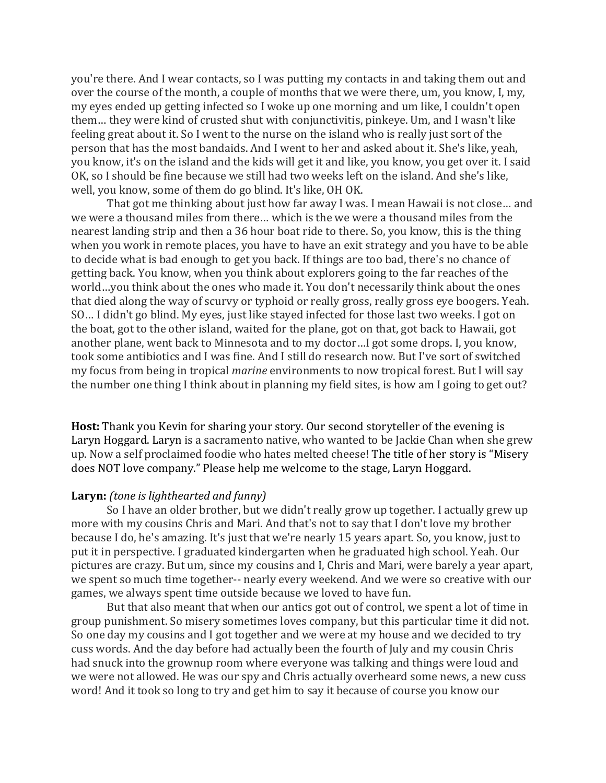you're there. And I wear contacts, so I was putting my contacts in and taking them out and over the course of the month, a couple of months that we were there, um, you know, I, my, my eyes ended up getting infected so I woke up one morning and um like, I couldn't open them... they were kind of crusted shut with conjunctivitis, pinkeye. Um, and I wasn't like feeling great about it. So I went to the nurse on the island who is really just sort of the person that has the most bandaids. And I went to her and asked about it. She's like, yeah, you know, it's on the island and the kids will get it and like, you know, you get over it. I said OK, so I should be fine because we still had two weeks left on the island. And she's like, well, you know, some of them do go blind. It's like, OH OK.

That got me thinking about just how far away I was. I mean Hawaii is not close... and we were a thousand miles from there... which is the we were a thousand miles from the nearest landing strip and then a 36 hour boat ride to there. So, you know, this is the thing when you work in remote places, you have to have an exit strategy and you have to be able to decide what is bad enough to get you back. If things are too bad, there's no chance of getting back. You know, when you think about explorers going to the far reaches of the world...you think about the ones who made it. You don't necessarily think about the ones that died along the way of scurvy or typhoid or really gross, really gross eye boogers. Yeah. SO... I didn't go blind. My eyes, just like stayed infected for those last two weeks. I got on the boat, got to the other island, waited for the plane, got on that, got back to Hawaii, got another plane, went back to Minnesota and to my doctor...I got some drops. I, you know, took some antibiotics and I was fine. And I still do research now. But I've sort of switched my focus from being in tropical *marine* environments to now tropical forest. But I will sav the number one thing I think about in planning my field sites, is how am I going to get out?

**Host:** Thank you Kevin for sharing your story. Our second storyteller of the evening is Laryn Hoggard. Laryn is a sacramento native, who wanted to be Jackie Chan when she grew up. Now a self proclaimed foodie who hates melted cheese! The title of her story is "Misery does NOT love company." Please help me welcome to the stage, Laryn Hoggard.

# **Laryn:** (tone is lighthearted and funny)

So I have an older brother, but we didn't really grow up together. I actually grew up more with my cousins Chris and Mari. And that's not to say that I don't love my brother because I do, he's amazing. It's just that we're nearly 15 years apart. So, you know, just to put it in perspective. I graduated kindergarten when he graduated high school. Yeah. Our pictures are crazy. But um, since my cousins and I, Chris and Mari, were barely a year apart, we spent so much time together-- nearly every weekend. And we were so creative with our games, we always spent time outside because we loved to have fun.

But that also meant that when our antics got out of control, we spent a lot of time in group punishment. So misery sometimes loves company, but this particular time it did not. So one day my cousins and I got together and we were at my house and we decided to try cuss words. And the day before had actually been the fourth of July and my cousin Chris had snuck into the grownup room where everyone was talking and things were loud and we were not allowed. He was our spy and Chris actually overheard some news, a new cuss word! And it took so long to try and get him to say it because of course you know our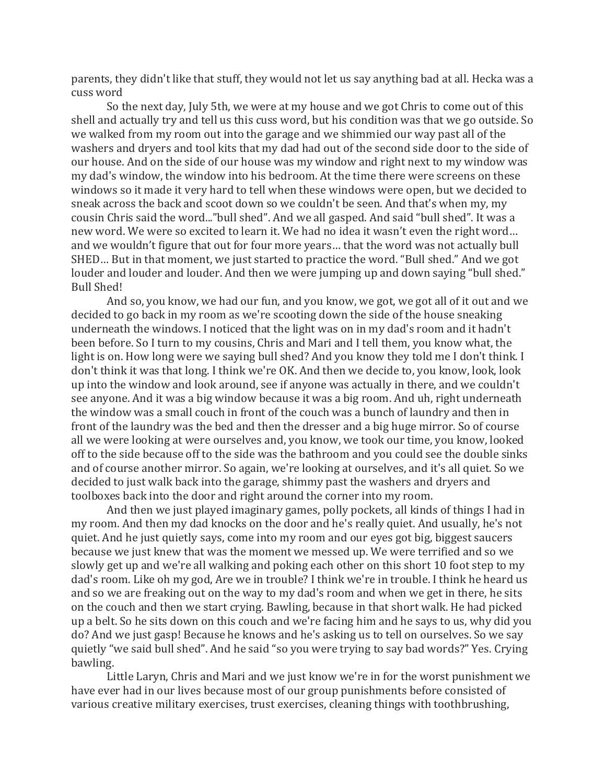parents, they didn't like that stuff, they would not let us say anything bad at all. Hecka was a cuss word

So the next day, July 5th, we were at my house and we got Chris to come out of this shell and actually try and tell us this cuss word, but his condition was that we go outside. So we walked from my room out into the garage and we shimmied our way past all of the washers and dryers and tool kits that my dad had out of the second side door to the side of our house. And on the side of our house was my window and right next to my window was my dad's window, the window into his bedroom. At the time there were screens on these windows so it made it very hard to tell when these windows were open, but we decided to sneak across the back and scoot down so we couldn't be seen. And that's when my, my cousin Chris said the word..."bull shed". And we all gasped. And said "bull shed". It was a new word. We were so excited to learn it. We had no idea it wasn't even the right word... and we wouldn't figure that out for four more years... that the word was not actually bull SHED... But in that moment, we just started to practice the word. "Bull shed." And we got louder and louder and louder. And then we were jumping up and down saying "bull shed." Bull Shed!

And so, you know, we had our fun, and you know, we got, we got all of it out and we decided to go back in my room as we're scooting down the side of the house sneaking underneath the windows. I noticed that the light was on in my dad's room and it hadn't been before. So I turn to my cousins, Chris and Mari and I tell them, you know what, the light is on. How long were we saying bull shed? And you know they told me I don't think. I don't think it was that long. I think we're OK. And then we decide to, you know, look, look up into the window and look around, see if anyone was actually in there, and we couldn't see anyone. And it was a big window because it was a big room. And uh, right underneath the window was a small couch in front of the couch was a bunch of laundry and then in front of the laundry was the bed and then the dresser and a big huge mirror. So of course all we were looking at were ourselves and, you know, we took our time, you know, looked off to the side because off to the side was the bathroom and you could see the double sinks and of course another mirror. So again, we're looking at ourselves, and it's all quiet. So we decided to just walk back into the garage, shimmy past the washers and dryers and toolboxes back into the door and right around the corner into my room.

And then we just played imaginary games, polly pockets, all kinds of things I had in my room. And then my dad knocks on the door and he's really quiet. And usually, he's not quiet. And he just quietly says, come into my room and our eyes got big, biggest saucers because we just knew that was the moment we messed up. We were terrified and so we slowly get up and we're all walking and poking each other on this short 10 foot step to my dad's room. Like oh my god, Are we in trouble? I think we're in trouble. I think he heard us and so we are freaking out on the way to my dad's room and when we get in there, he sits on the couch and then we start crying. Bawling, because in that short walk. He had picked up a belt. So he sits down on this couch and we're facing him and he says to us, why did you do? And we just gasp! Because he knows and he's asking us to tell on ourselves. So we say quietly "we said bull shed". And he said "so you were trying to say bad words?" Yes. Crying bawling. 

Little Laryn, Chris and Mari and we just know we're in for the worst punishment we have ever had in our lives because most of our group punishments before consisted of various creative military exercises, trust exercises, cleaning things with toothbrushing,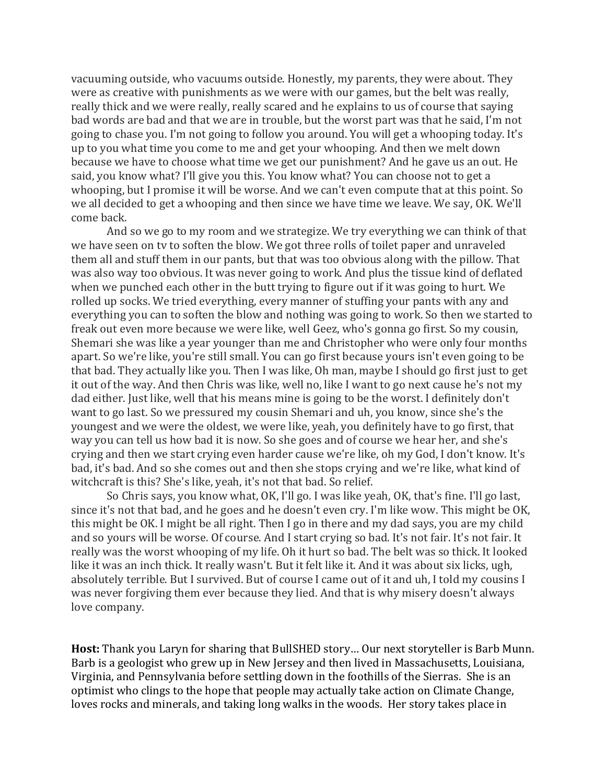vacuuming outside, who vacuums outside. Honestly, my parents, they were about. They were as creative with punishments as we were with our games, but the belt was really, really thick and we were really, really scared and he explains to us of course that saying bad words are bad and that we are in trouble, but the worst part was that he said, I'm not going to chase you. I'm not going to follow you around. You will get a whooping today. It's up to you what time you come to me and get your whooping. And then we melt down because we have to choose what time we get our punishment? And he gave us an out. He said, you know what? I'll give you this. You know what? You can choose not to get a whooping, but I promise it will be worse. And we can't even compute that at this point. So we all decided to get a whooping and then since we have time we leave. We say, OK. We'll come back.

And so we go to my room and we strategize. We try everything we can think of that we have seen on ty to soften the blow. We got three rolls of toilet paper and unraveled them all and stuff them in our pants, but that was too obvious along with the pillow. That was also way too obvious. It was never going to work. And plus the tissue kind of deflated when we punched each other in the butt trying to figure out if it was going to hurt. We rolled up socks. We tried everything, every manner of stuffing your pants with any and everything you can to soften the blow and nothing was going to work. So then we started to freak out even more because we were like, well Geez, who's gonna go first. So my cousin, Shemari she was like a year younger than me and Christopher who were only four months apart. So we're like, you're still small. You can go first because yours isn't even going to be that bad. They actually like you. Then I was like, Oh man, maybe I should go first just to get it out of the way. And then Chris was like, well no, like I want to go next cause he's not my dad either. Just like, well that his means mine is going to be the worst. I definitely don't want to go last. So we pressured my cousin Shemari and uh, you know, since she's the youngest and we were the oldest, we were like, yeah, you definitely have to go first, that way you can tell us how bad it is now. So she goes and of course we hear her, and she's crying and then we start crying even harder cause we're like, oh my God, I don't know. It's bad, it's bad. And so she comes out and then she stops crying and we're like, what kind of witchcraft is this? She's like, yeah, it's not that bad. So relief.

So Chris says, you know what, OK, I'll go. I was like yeah, OK, that's fine. I'll go last, since it's not that bad, and he goes and he doesn't even cry. I'm like wow. This might be OK, this might be OK. I might be all right. Then I go in there and my dad says, you are my child and so yours will be worse. Of course. And I start crying so bad. It's not fair. It's not fair. It really was the worst whooping of my life. Oh it hurt so bad. The belt was so thick. It looked like it was an inch thick. It really wasn't. But it felt like it. And it was about six licks, ugh, absolutely terrible. But I survived. But of course I came out of it and uh, I told my cousins I was never forgiving them ever because they lied. And that is why misery doesn't always love company.

**Host:** Thank you Laryn for sharing that BullSHED story... Our next storyteller is Barb Munn. Barb is a geologist who grew up in New Jersey and then lived in Massachusetts, Louisiana, Virginia, and Pennsylvania before settling down in the foothills of the Sierras. She is an optimist who clings to the hope that people may actually take action on Climate Change, loves rocks and minerals, and taking long walks in the woods. Her story takes place in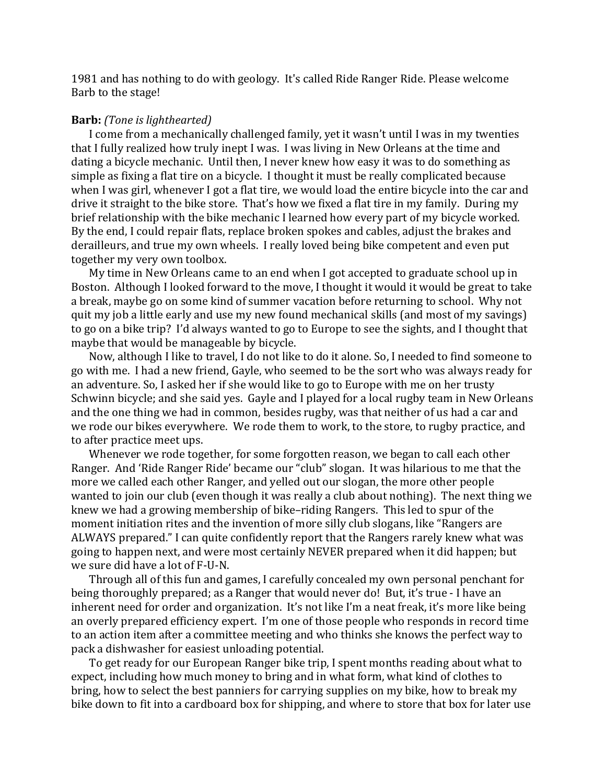1981 and has nothing to do with geology. It's called Ride Ranger Ride. Please welcome Barb to the stage!

#### **Barb:** *(Tone is lighthearted)*

I come from a mechanically challenged family, yet it wasn't until I was in my twenties that I fully realized how truly inept I was. I was living in New Orleans at the time and dating a bicycle mechanic. Until then, I never knew how easy it was to do something as simple as fixing a flat tire on a bicycle. I thought it must be really complicated because when I was girl, whenever I got a flat tire, we would load the entire bicycle into the car and drive it straight to the bike store. That's how we fixed a flat tire in my family. During my brief relationship with the bike mechanic I learned how every part of my bicycle worked. By the end, I could repair flats, replace broken spokes and cables, adjust the brakes and derailleurs, and true my own wheels. I really loved being bike competent and even put together my very own toolbox.

My time in New Orleans came to an end when I got accepted to graduate school up in Boston. Although I looked forward to the move, I thought it would it would be great to take a break, maybe go on some kind of summer vacation before returning to school. Why not quit my job a little early and use my new found mechanical skills (and most of my savings) to go on a bike trip? I'd always wanted to go to Europe to see the sights, and I thought that maybe that would be manageable by bicycle.

Now, although I like to travel, I do not like to do it alone. So, I needed to find someone to go with me. I had a new friend, Gayle, who seemed to be the sort who was always ready for an adventure. So, I asked her if she would like to go to Europe with me on her trusty Schwinn bicycle; and she said yes. Gayle and I played for a local rugby team in New Orleans and the one thing we had in common, besides rugby, was that neither of us had a car and we rode our bikes everywhere. We rode them to work, to the store, to rugby practice, and to after practice meet ups.

Whenever we rode together, for some forgotten reason, we began to call each other Ranger. And 'Ride Ranger Ride' became our "club" slogan. It was hilarious to me that the more we called each other Ranger, and yelled out our slogan, the more other people wanted to join our club (even though it was really a club about nothing). The next thing we knew we had a growing membership of bike-riding Rangers. This led to spur of the moment initiation rites and the invention of more silly club slogans, like "Rangers are ALWAYS prepared." I can quite confidently report that the Rangers rarely knew what was going to happen next, and were most certainly NEVER prepared when it did happen; but we sure did have a lot of F-U-N.

Through all of this fun and games, I carefully concealed my own personal penchant for being thoroughly prepared; as a Ranger that would never do! But, it's true - I have an inherent need for order and organization. It's not like I'm a neat freak, it's more like being an overly prepared efficiency expert. I'm one of those people who responds in record time to an action item after a committee meeting and who thinks she knows the perfect way to pack a dishwasher for easiest unloading potential.

To get ready for our European Ranger bike trip, I spent months reading about what to expect, including how much money to bring and in what form, what kind of clothes to bring, how to select the best panniers for carrying supplies on my bike, how to break my bike down to fit into a cardboard box for shipping, and where to store that box for later use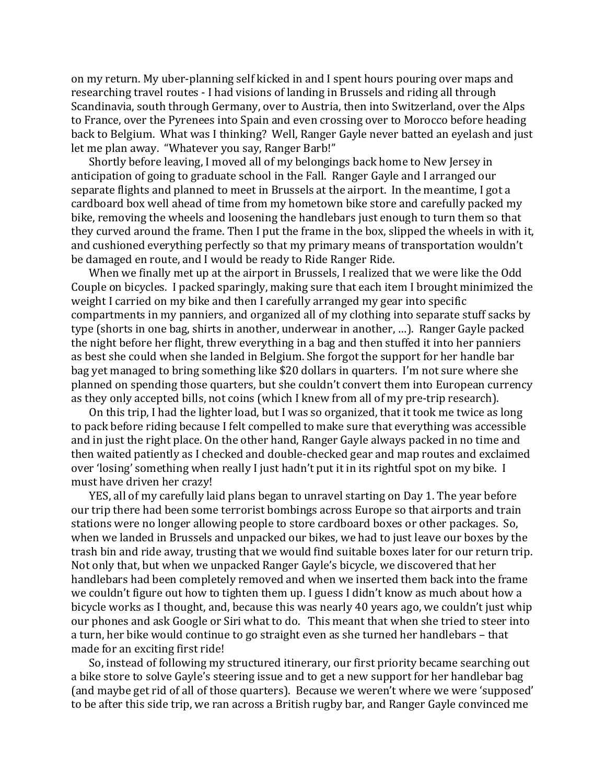on my return. My uber-planning self kicked in and I spent hours pouring over maps and researching travel routes - I had visions of landing in Brussels and riding all through Scandinavia, south through Germany, over to Austria, then into Switzerland, over the Alps to France, over the Pyrenees into Spain and even crossing over to Morocco before heading back to Belgium. What was I thinking? Well, Ranger Gayle never batted an eyelash and just let me plan away. "Whatever you say, Ranger Barb!"

Shortly before leaving, I moved all of my belongings back home to New Jersey in anticipation of going to graduate school in the Fall. Ranger Gayle and I arranged our separate flights and planned to meet in Brussels at the airport. In the meantime, I got a cardboard box well ahead of time from my hometown bike store and carefully packed my bike, removing the wheels and loosening the handlebars just enough to turn them so that they curved around the frame. Then I put the frame in the box, slipped the wheels in with it, and cushioned everything perfectly so that my primary means of transportation wouldn't be damaged en route, and I would be ready to Ride Ranger Ride.

When we finally met up at the airport in Brussels, I realized that we were like the Odd Couple on bicycles. I packed sparingly, making sure that each item I brought minimized the weight I carried on my bike and then I carefully arranged my gear into specific compartments in my panniers, and organized all of my clothing into separate stuff sacks by type (shorts in one bag, shirts in another, underwear in another, ...). Ranger Gayle packed the night before her flight, threw everything in a bag and then stuffed it into her panniers as best she could when she landed in Belgium. She forgot the support for her handle bar bag yet managed to bring something like \$20 dollars in quarters. I'm not sure where she planned on spending those quarters, but she couldn't convert them into European currency as they only accepted bills, not coins (which I knew from all of my pre-trip research).

On this trip, I had the lighter load, but I was so organized, that it took me twice as long to pack before riding because I felt compelled to make sure that everything was accessible and in just the right place. On the other hand, Ranger Gayle always packed in no time and then waited patiently as I checked and double-checked gear and map routes and exclaimed over 'losing' something when really I just hadn't put it in its rightful spot on my bike. I must have driven her crazy!

YES, all of my carefully laid plans began to unravel starting on Day 1. The year before our trip there had been some terrorist bombings across Europe so that airports and train stations were no longer allowing people to store cardboard boxes or other packages. So, when we landed in Brussels and unpacked our bikes, we had to just leave our boxes by the trash bin and ride away, trusting that we would find suitable boxes later for our return trip. Not only that, but when we unpacked Ranger Gayle's bicycle, we discovered that her handlebars had been completely removed and when we inserted them back into the frame we couldn't figure out how to tighten them up. I guess I didn't know as much about how a bicycle works as I thought, and, because this was nearly 40 years ago, we couldn't just whip our phones and ask Google or Siri what to do. This meant that when she tried to steer into a turn, her bike would continue to go straight even as she turned her handlebars - that made for an exciting first ride!

So, instead of following my structured itinerary, our first priority became searching out a bike store to solve Gayle's steering issue and to get a new support for her handlebar bag (and maybe get rid of all of those quarters). Because we weren't where we were 'supposed' to be after this side trip, we ran across a British rugby bar, and Ranger Gayle convinced me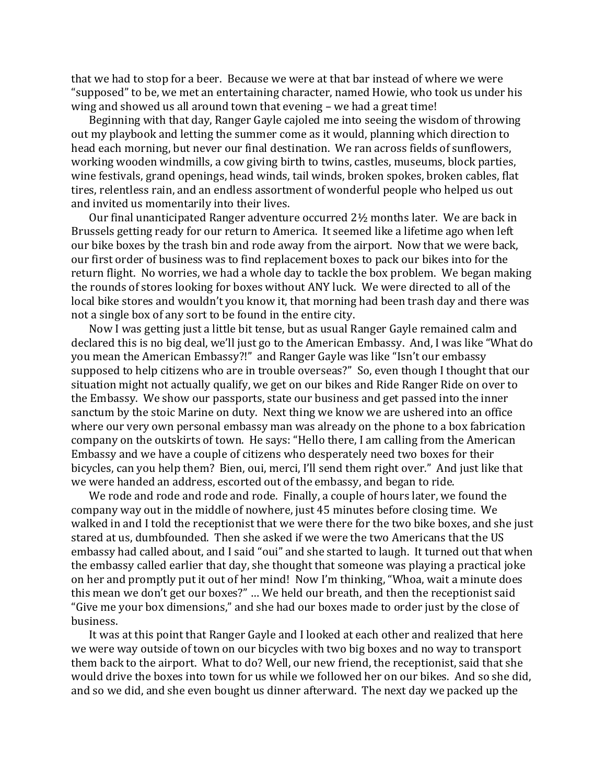that we had to stop for a beer. Because we were at that bar instead of where we were "supposed" to be, we met an entertaining character, named Howie, who took us under his wing and showed us all around town that evening  $-$  we had a great time!

Beginning with that day, Ranger Gayle cajoled me into seeing the wisdom of throwing out my playbook and letting the summer come as it would, planning which direction to head each morning, but never our final destination. We ran across fields of sunflowers, working wooden windmills, a cow giving birth to twins, castles, museums, block parties, wine festivals, grand openings, head winds, tail winds, broken spokes, broken cables, flat tires, relentless rain, and an endless assortment of wonderful people who helped us out and invited us momentarily into their lives.

Our final unanticipated Ranger adventure occurred  $2\frac{1}{2}$  months later. We are back in Brussels getting ready for our return to America. It seemed like a lifetime ago when left our bike boxes by the trash bin and rode away from the airport. Now that we were back, our first order of business was to find replacement boxes to pack our bikes into for the return flight. No worries, we had a whole day to tackle the box problem. We began making the rounds of stores looking for boxes without ANY luck. We were directed to all of the local bike stores and wouldn't you know it, that morning had been trash day and there was not a single box of any sort to be found in the entire city.

Now I was getting just a little bit tense, but as usual Ranger Gayle remained calm and declared this is no big deal, we'll just go to the American Embassy. And, I was like "What do you mean the American Embassy?!" and Ranger Gayle was like "Isn't our embassy supposed to help citizens who are in trouble overseas?" So, even though I thought that our situation might not actually qualify, we get on our bikes and Ride Ranger Ride on over to the Embassy. We show our passports, state our business and get passed into the inner sanctum by the stoic Marine on duty. Next thing we know we are ushered into an office where our very own personal embassy man was already on the phone to a box fabrication company on the outskirts of town. He says: "Hello there, I am calling from the American Embassy and we have a couple of citizens who desperately need two boxes for their bicycles, can you help them? Bien, oui, merci, I'll send them right over." And just like that we were handed an address, escorted out of the embassy, and began to ride.

We rode and rode and rode and rode. Finally, a couple of hours later, we found the company way out in the middle of nowhere, just 45 minutes before closing time. We walked in and I told the receptionist that we were there for the two bike boxes, and she just stared at us, dumbfounded. Then she asked if we were the two Americans that the US embassy had called about, and I said "oui" and she started to laugh. It turned out that when the embassy called earlier that day, she thought that someone was playing a practical joke on her and promptly put it out of her mind! Now I'm thinking, "Whoa, wait a minute does this mean we don't get our boxes?" ... We held our breath, and then the receptionist said "Give me your box dimensions," and she had our boxes made to order just by the close of business. 

It was at this point that Ranger Gayle and I looked at each other and realized that here we were way outside of town on our bicycles with two big boxes and no way to transport them back to the airport. What to do? Well, our new friend, the receptionist, said that she would drive the boxes into town for us while we followed her on our bikes. And so she did, and so we did, and she even bought us dinner afterward. The next day we packed up the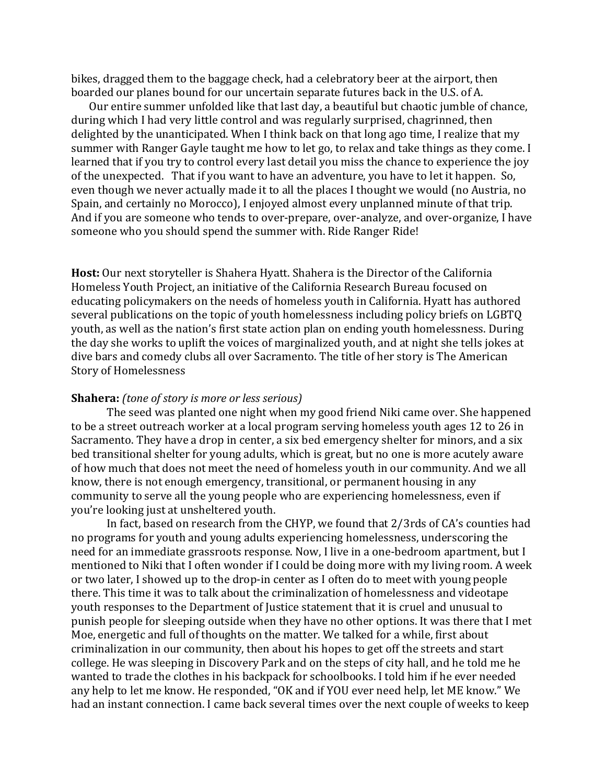bikes, dragged them to the baggage check, had a celebratory beer at the airport, then boarded our planes bound for our uncertain separate futures back in the U.S. of A.

Our entire summer unfolded like that last day, a beautiful but chaotic jumble of chance, during which I had very little control and was regularly surprised, chagrinned, then delighted by the unanticipated. When I think back on that long ago time, I realize that my summer with Ranger Gayle taught me how to let go, to relax and take things as they come. I learned that if you try to control every last detail you miss the chance to experience the joy of the unexpected. That if you want to have an adventure, you have to let it happen. So, even though we never actually made it to all the places I thought we would (no Austria, no Spain, and certainly no Morocco), I enjoyed almost every unplanned minute of that trip. And if you are someone who tends to over-prepare, over-analyze, and over-organize, I have someone who you should spend the summer with. Ride Ranger Ride!

**Host:** Our next storyteller is Shahera Hyatt. Shahera is the Director of the California Homeless Youth Project, an initiative of the California Research Bureau focused on educating policymakers on the needs of homeless youth in California. Hyatt has authored several publications on the topic of youth homelessness including policy briefs on LGBTQ youth, as well as the nation's first state action plan on ending youth homelessness. During the day she works to uplift the voices of marginalized youth, and at night she tells jokes at dive bars and comedy clubs all over Sacramento. The title of her story is The American Story of Homelessness

# **Shahera:** *(tone of story is more or less serious)*

The seed was planted one night when my good friend Niki came over. She happened to be a street outreach worker at a local program serving homeless youth ages 12 to 26 in Sacramento. They have a drop in center, a six bed emergency shelter for minors, and a six bed transitional shelter for young adults, which is great, but no one is more acutely aware of how much that does not meet the need of homeless youth in our community. And we all know, there is not enough emergency, transitional, or permanent housing in any community to serve all the young people who are experiencing homelessness, even if you're looking just at unsheltered youth.

In fact, based on research from the CHYP, we found that 2/3rds of CA's counties had no programs for youth and young adults experiencing homelessness, underscoring the need for an immediate grassroots response. Now, I live in a one-bedroom apartment, but I mentioned to Niki that I often wonder if I could be doing more with my living room. A week or two later, I showed up to the drop-in center as I often do to meet with young people there. This time it was to talk about the criminalization of homelessness and videotape youth responses to the Department of Justice statement that it is cruel and unusual to punish people for sleeping outside when they have no other options. It was there that I met Moe, energetic and full of thoughts on the matter. We talked for a while, first about criminalization in our community, then about his hopes to get off the streets and start college. He was sleeping in Discovery Park and on the steps of city hall, and he told me he wanted to trade the clothes in his backpack for schoolbooks. I told him if he ever needed any help to let me know. He responded, "OK and if YOU ever need help, let ME know." We had an instant connection. I came back several times over the next couple of weeks to keep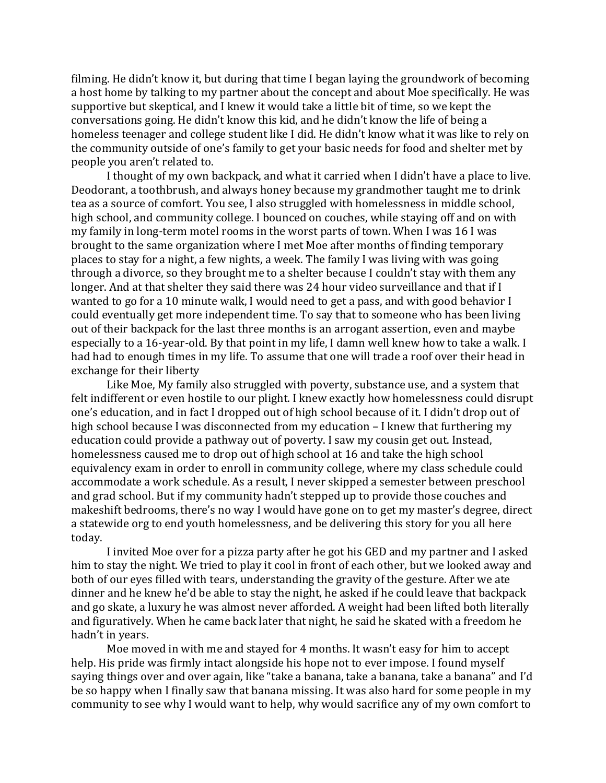filming. He didn't know it, but during that time I began laying the groundwork of becoming a host home by talking to my partner about the concept and about Moe specifically. He was supportive but skeptical, and I knew it would take a little bit of time, so we kept the conversations going. He didn't know this kid, and he didn't know the life of being a homeless teenager and college student like I did. He didn't know what it was like to rely on the community outside of one's family to get your basic needs for food and shelter met by people you aren't related to.

I thought of my own backpack, and what it carried when I didn't have a place to live. Deodorant, a toothbrush, and always honey because my grandmother taught me to drink tea as a source of comfort. You see, I also struggled with homelessness in middle school, high school, and community college. I bounced on couches, while staying off and on with my family in long-term motel rooms in the worst parts of town. When I was 16 I was brought to the same organization where I met Moe after months of finding temporary places to stay for a night, a few nights, a week. The family I was living with was going through a divorce, so they brought me to a shelter because I couldn't stay with them any longer. And at that shelter they said there was 24 hour video surveillance and that if I wanted to go for a 10 minute walk, I would need to get a pass, and with good behavior I could eventually get more independent time. To say that to someone who has been living out of their backpack for the last three months is an arrogant assertion, even and maybe especially to a 16-year-old. By that point in my life, I damn well knew how to take a walk. I had had to enough times in my life. To assume that one will trade a roof over their head in exchange for their liberty

Like Moe, My family also struggled with poverty, substance use, and a system that felt indifferent or even hostile to our plight. I knew exactly how homelessness could disrupt one's education, and in fact I dropped out of high school because of it. I didn't drop out of high school because I was disconnected from my education  $-$  I knew that furthering my education could provide a pathway out of poverty. I saw my cousin get out. Instead, homelessness caused me to drop out of high school at 16 and take the high school equivalency exam in order to enroll in community college, where my class schedule could accommodate a work schedule. As a result, I never skipped a semester between preschool and grad school. But if my community hadn't stepped up to provide those couches and makeshift bedrooms, there's no way I would have gone on to get my master's degree, direct a statewide org to end youth homelessness, and be delivering this story for you all here today. 

I invited Moe over for a pizza party after he got his GED and my partner and I asked him to stay the night. We tried to play it cool in front of each other, but we looked away and both of our eyes filled with tears, understanding the gravity of the gesture. After we ate dinner and he knew he'd be able to stay the night, he asked if he could leave that backpack and go skate, a luxury he was almost never afforded. A weight had been lifted both literally and figuratively. When he came back later that night, he said he skated with a freedom he hadn't in years.

Moe moved in with me and stayed for 4 months. It wasn't easy for him to accept help. His pride was firmly intact alongside his hope not to ever impose. I found myself saying things over and over again, like "take a banana, take a banana, take a banana" and I'd be so happy when I finally saw that banana missing. It was also hard for some people in my community to see why I would want to help, why would sacrifice any of my own comfort to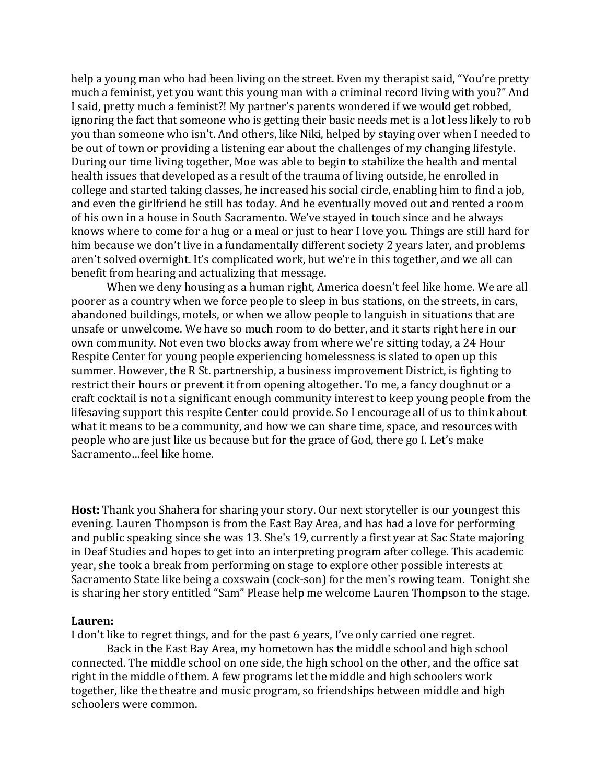help a young man who had been living on the street. Even my therapist said, "You're pretty much a feminist, yet you want this young man with a criminal record living with you?" And I said, pretty much a feminist?! My partner's parents wondered if we would get robbed, ignoring the fact that someone who is getting their basic needs met is a lot less likely to rob you than someone who isn't. And others, like Niki, helped by staying over when I needed to be out of town or providing a listening ear about the challenges of my changing lifestyle. During our time living together, Moe was able to begin to stabilize the health and mental health issues that developed as a result of the trauma of living outside, he enrolled in college and started taking classes, he increased his social circle, enabling him to find a job, and even the girlfriend he still has today. And he eventually moved out and rented a room of his own in a house in South Sacramento. We've stayed in touch since and he always knows where to come for a hug or a meal or just to hear I love you. Things are still hard for him because we don't live in a fundamentally different society 2 years later, and problems aren't solved overnight. It's complicated work, but we're in this together, and we all can benefit from hearing and actualizing that message.

When we deny housing as a human right, America doesn't feel like home. We are all poorer as a country when we force people to sleep in bus stations, on the streets, in cars, abandoned buildings, motels, or when we allow people to languish in situations that are unsafe or unwelcome. We have so much room to do better, and it starts right here in our own community. Not even two blocks away from where we're sitting today, a 24 Hour Respite Center for young people experiencing homelessness is slated to open up this summer. However, the R St. partnership, a business improvement District, is fighting to restrict their hours or prevent it from opening altogether. To me, a fancy doughnut or a craft cocktail is not a significant enough community interest to keep young people from the lifesaving support this respite Center could provide. So I encourage all of us to think about what it means to be a community, and how we can share time, space, and resources with people who are just like us because but for the grace of God, there go I. Let's make Sacramento...feel like home.

**Host:** Thank you Shahera for sharing your story. Our next storyteller is our youngest this evening. Lauren Thompson is from the East Bay Area, and has had a love for performing and public speaking since she was 13. She's 19, currently a first year at Sac State majoring in Deaf Studies and hopes to get into an interpreting program after college. This academic year, she took a break from performing on stage to explore other possible interests at Sacramento State like being a coxswain (cock-son) for the men's rowing team. Tonight she is sharing her story entitled "Sam" Please help me welcome Lauren Thompson to the stage.

#### **Lauren:**

I don't like to regret things, and for the past 6 years, I've only carried one regret.

Back in the East Bay Area, my hometown has the middle school and high school connected. The middle school on one side, the high school on the other, and the office sat right in the middle of them. A few programs let the middle and high schoolers work together, like the theatre and music program, so friendships between middle and high schoolers were common.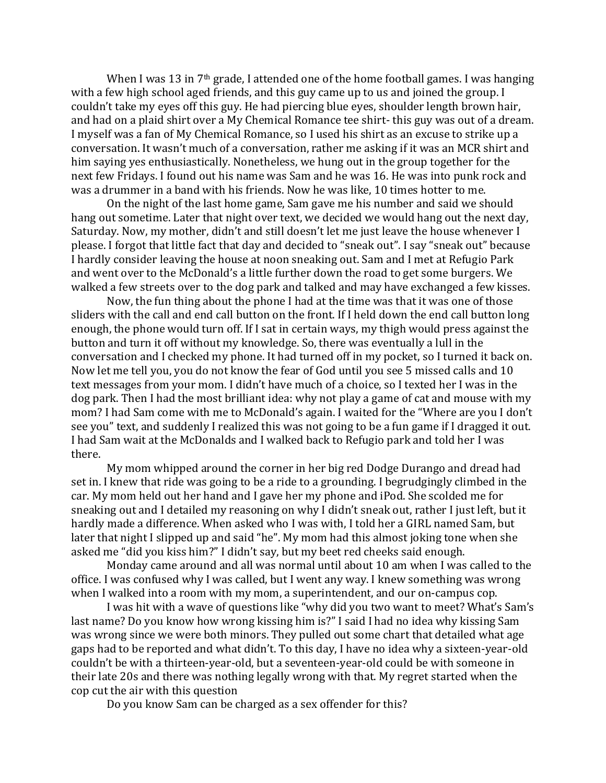When I was 13 in  $7<sup>th</sup>$  grade, I attended one of the home football games. I was hanging with a few high school aged friends, and this guy came up to us and joined the group. I couldn't take my eyes off this guy. He had piercing blue eyes, shoulder length brown hair, and had on a plaid shirt over a My Chemical Romance tee shirt- this guy was out of a dream. I myself was a fan of My Chemical Romance, so I used his shirt as an excuse to strike up a conversation. It wasn't much of a conversation, rather me asking if it was an MCR shirt and him saying yes enthusiastically. Nonetheless, we hung out in the group together for the next few Fridays. I found out his name was Sam and he was 16. He was into punk rock and was a drummer in a band with his friends. Now he was like, 10 times hotter to me.

On the night of the last home game, Sam gave me his number and said we should hang out sometime. Later that night over text, we decided we would hang out the next day, Saturday. Now, my mother, didn't and still doesn't let me just leave the house whenever I please. I forgot that little fact that day and decided to "sneak out". I say "sneak out" because I hardly consider leaving the house at noon sneaking out. Sam and I met at Refugio Park and went over to the McDonald's a little further down the road to get some burgers. We walked a few streets over to the dog park and talked and may have exchanged a few kisses.

Now, the fun thing about the phone I had at the time was that it was one of those sliders with the call and end call button on the front. If I held down the end call button long enough, the phone would turn off. If I sat in certain ways, my thigh would press against the button and turn it off without my knowledge. So, there was eventually a lull in the conversation and I checked my phone. It had turned off in my pocket, so I turned it back on. Now let me tell you, you do not know the fear of God until you see 5 missed calls and 10 text messages from your mom. I didn't have much of a choice, so I texted her I was in the dog park. Then I had the most brilliant idea: why not play a game of cat and mouse with my mom? I had Sam come with me to McDonald's again. I waited for the "Where are you I don't see you" text, and suddenly I realized this was not going to be a fun game if I dragged it out. I had Sam wait at the McDonalds and I walked back to Refugio park and told her I was there. 

My mom whipped around the corner in her big red Dodge Durango and dread had set in. I knew that ride was going to be a ride to a grounding. I begrudgingly climbed in the car. My mom held out her hand and I gave her my phone and iPod. She scolded me for sneaking out and I detailed my reasoning on why I didn't sneak out, rather I just left, but it hardly made a difference. When asked who I was with, I told her a GIRL named Sam, but later that night I slipped up and said "he". My mom had this almost joking tone when she asked me "did you kiss him?" I didn't say, but my beet red cheeks said enough.

Monday came around and all was normal until about 10 am when I was called to the office. I was confused why I was called, but I went any way. I knew something was wrong when I walked into a room with my mom, a superintendent, and our on-campus cop.

I was hit with a wave of questions like "why did you two want to meet? What's Sam's last name? Do you know how wrong kissing him is?" I said I had no idea why kissing Sam was wrong since we were both minors. They pulled out some chart that detailed what age gaps had to be reported and what didn't. To this day, I have no idea why a sixteen-year-old couldn't be with a thirteen-year-old, but a seventeen-year-old could be with someone in their late 20s and there was nothing legally wrong with that. My regret started when the cop cut the air with this question

Do you know Sam can be charged as a sex offender for this?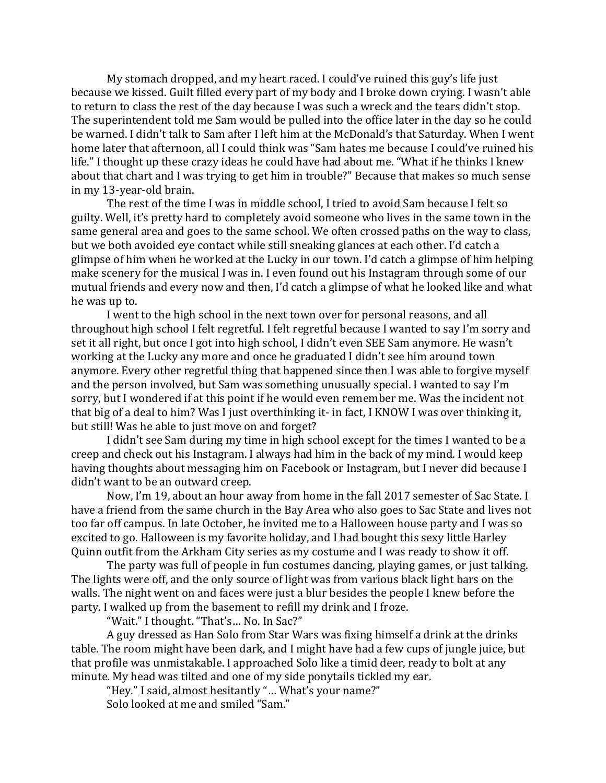My stomach dropped, and my heart raced. I could've ruined this guy's life just because we kissed. Guilt filled every part of my body and I broke down crying. I wasn't able to return to class the rest of the day because I was such a wreck and the tears didn't stop. The superintendent told me Sam would be pulled into the office later in the day so he could be warned. I didn't talk to Sam after I left him at the McDonald's that Saturday. When I went home later that afternoon, all I could think was "Sam hates me because I could've ruined his life." I thought up these crazy ideas he could have had about me. "What if he thinks I knew about that chart and I was trying to get him in trouble?" Because that makes so much sense in my 13-year-old brain.

The rest of the time I was in middle school, I tried to avoid Sam because I felt so guilty. Well, it's pretty hard to completely avoid someone who lives in the same town in the same general area and goes to the same school. We often crossed paths on the way to class, but we both avoided eye contact while still sneaking glances at each other. I'd catch a glimpse of him when he worked at the Lucky in our town. I'd catch a glimpse of him helping make scenery for the musical I was in. I even found out his Instagram through some of our mutual friends and every now and then, I'd catch a glimpse of what he looked like and what he was up to.

I went to the high school in the next town over for personal reasons, and all throughout high school I felt regretful. I felt regretful because I wanted to say I'm sorry and set it all right, but once I got into high school, I didn't even SEE Sam anymore. He wasn't working at the Lucky any more and once he graduated I didn't see him around town anymore. Every other regretful thing that happened since then I was able to forgive myself and the person involved, but Sam was something unusually special. I wanted to say I'm sorry, but I wondered if at this point if he would even remember me. Was the incident not that big of a deal to him? Was I just overthinking it- in fact, I KNOW I was over thinking it, but still! Was he able to just move on and forget?

I didn't see Sam during my time in high school except for the times I wanted to be a creep and check out his Instagram. I always had him in the back of my mind. I would keep having thoughts about messaging him on Facebook or Instagram, but I never did because I didn't want to be an outward creep.

Now, I'm 19, about an hour away from home in the fall 2017 semester of Sac State. I have a friend from the same church in the Bay Area who also goes to Sac State and lives not too far off campus. In late October, he invited me to a Halloween house party and I was so excited to go. Halloween is my favorite holiday, and I had bought this sexy little Harley Quinn outfit from the Arkham City series as my costume and I was ready to show it off.

The party was full of people in fun costumes dancing, playing games, or just talking. The lights were off, and the only source of light was from various black light bars on the walls. The night went on and faces were just a blur besides the people I knew before the party. I walked up from the basement to refill my drink and I froze.

"Wait." I thought. "That's... No. In Sac?"

A guy dressed as Han Solo from Star Wars was fixing himself a drink at the drinks table. The room might have been dark, and I might have had a few cups of jungle juice, but that profile was unmistakable. I approached Solo like a timid deer, ready to bolt at any minute. My head was tilted and one of my side ponytails tickled my ear.

"Hey." I said, almost hesitantly "... What's your name?" Solo looked at me and smiled "Sam."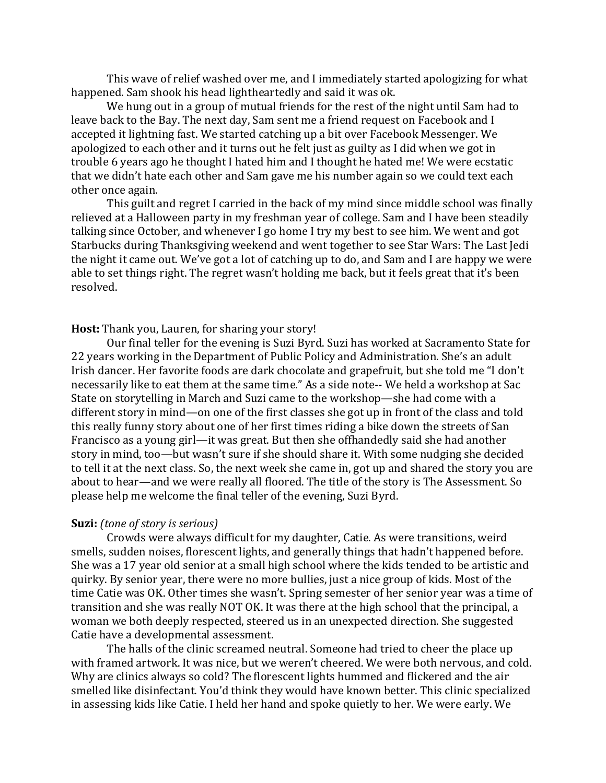This wave of relief washed over me, and I immediately started apologizing for what happened. Sam shook his head lightheartedly and said it was ok.

We hung out in a group of mutual friends for the rest of the night until Sam had to leave back to the Bay. The next day, Sam sent me a friend request on Facebook and I accepted it lightning fast. We started catching up a bit over Facebook Messenger. We apologized to each other and it turns out he felt just as guilty as I did when we got in trouble 6 years ago he thought I hated him and I thought he hated me! We were ecstatic that we didn't hate each other and Sam gave me his number again so we could text each other once again.

This guilt and regret I carried in the back of my mind since middle school was finally relieved at a Halloween party in my freshman year of college. Sam and I have been steadily talking since October, and whenever I go home I try my best to see him. We went and got Starbucks during Thanksgiving weekend and went together to see Star Wars: The Last Jedi the night it came out. We've got a lot of catching up to do, and Sam and I are happy we were able to set things right. The regret wasn't holding me back, but it feels great that it's been resolved.

### **Host:** Thank you, Lauren, for sharing your story!

Our final teller for the evening is Suzi Byrd. Suzi has worked at Sacramento State for 22 years working in the Department of Public Policy and Administration. She's an adult Irish dancer. Her favorite foods are dark chocolate and grapefruit, but she told me "I don't necessarily like to eat them at the same time." As a side note-- We held a workshop at Sac State on storytelling in March and Suzi came to the workshop—she had come with a different story in mind—on one of the first classes she got up in front of the class and told this really funny story about one of her first times riding a bike down the streets of San Francisco as a young girl—it was great. But then she offhandedly said she had another story in mind, too—but wasn't sure if she should share it. With some nudging she decided to tell it at the next class. So, the next week she came in, got up and shared the story you are about to hear—and we were really all floored. The title of the story is The Assessment. So please help me welcome the final teller of the evening, Suzi Byrd.

#### **Suzi:** *(tone of story is serious)*

Crowds were always difficult for my daughter, Catie. As were transitions, weird smells, sudden noises, florescent lights, and generally things that hadn't happened before. She was a 17 year old senior at a small high school where the kids tended to be artistic and quirky. By senior year, there were no more bullies, just a nice group of kids. Most of the time Catie was OK. Other times she wasn't. Spring semester of her senior year was a time of transition and she was really NOT OK. It was there at the high school that the principal, a woman we both deeply respected, steered us in an unexpected direction. She suggested Catie have a developmental assessment.

The halls of the clinic screamed neutral. Someone had tried to cheer the place up with framed artwork. It was nice, but we weren't cheered. We were both nervous, and cold. Why are clinics always so cold? The florescent lights hummed and flickered and the air smelled like disinfectant. You'd think they would have known better. This clinic specialized in assessing kids like Catie. I held her hand and spoke quietly to her. We were early. We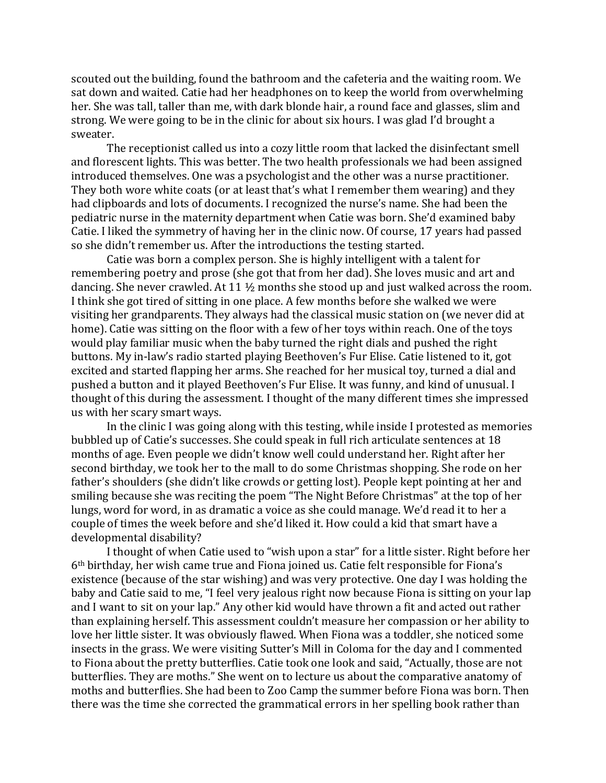scouted out the building, found the bathroom and the cafeteria and the waiting room. We sat down and waited. Catie had her headphones on to keep the world from overwhelming her. She was tall, taller than me, with dark blonde hair, a round face and glasses, slim and strong. We were going to be in the clinic for about six hours. I was glad I'd brought a sweater.

The receptionist called us into a cozy little room that lacked the disinfectant smell and florescent lights. This was better. The two health professionals we had been assigned introduced themselves. One was a psychologist and the other was a nurse practitioner. They both wore white coats (or at least that's what I remember them wearing) and they had clipboards and lots of documents. I recognized the nurse's name. She had been the pediatric nurse in the maternity department when Catie was born. She'd examined baby Catie. I liked the symmetry of having her in the clinic now. Of course, 17 years had passed so she didn't remember us. After the introductions the testing started.

Catie was born a complex person. She is highly intelligent with a talent for remembering poetry and prose (she got that from her dad). She loves music and art and dancing. She never crawled. At 11  $\frac{1}{2}$  months she stood up and just walked across the room. I think she got tired of sitting in one place. A few months before she walked we were visiting her grandparents. They always had the classical music station on (we never did at home). Catie was sitting on the floor with a few of her toys within reach. One of the toys would play familiar music when the baby turned the right dials and pushed the right buttons. My in-law's radio started playing Beethoven's Fur Elise. Catie listened to it, got excited and started flapping her arms. She reached for her musical toy, turned a dial and pushed a button and it played Beethoven's Fur Elise. It was funny, and kind of unusual. I thought of this during the assessment. I thought of the many different times she impressed us with her scary smart ways.

In the clinic I was going along with this testing, while inside I protested as memories bubbled up of Catie's successes. She could speak in full rich articulate sentences at 18 months of age. Even people we didn't know well could understand her. Right after her second birthday, we took her to the mall to do some Christmas shopping. She rode on her father's shoulders (she didn't like crowds or getting lost). People kept pointing at her and smiling because she was reciting the poem "The Night Before Christmas" at the top of her lungs, word for word, in as dramatic a voice as she could manage. We'd read it to her a couple of times the week before and she'd liked it. How could a kid that smart have a developmental disability?

I thought of when Catie used to "wish upon a star" for a little sister. Right before her  $6<sup>th</sup>$  birthday, her wish came true and Fiona joined us. Catie felt responsible for Fiona's existence (because of the star wishing) and was very protective. One day I was holding the baby and Catie said to me, "I feel very jealous right now because Fiona is sitting on your lap and I want to sit on your lap." Any other kid would have thrown a fit and acted out rather than explaining herself. This assessment couldn't measure her compassion or her ability to love her little sister. It was obviously flawed. When Fiona was a toddler, she noticed some insects in the grass. We were visiting Sutter's Mill in Coloma for the day and I commented to Fiona about the pretty butterflies. Catie took one look and said, "Actually, those are not butterflies. They are moths." She went on to lecture us about the comparative anatomy of moths and butterflies. She had been to Zoo Camp the summer before Fiona was born. Then there was the time she corrected the grammatical errors in her spelling book rather than